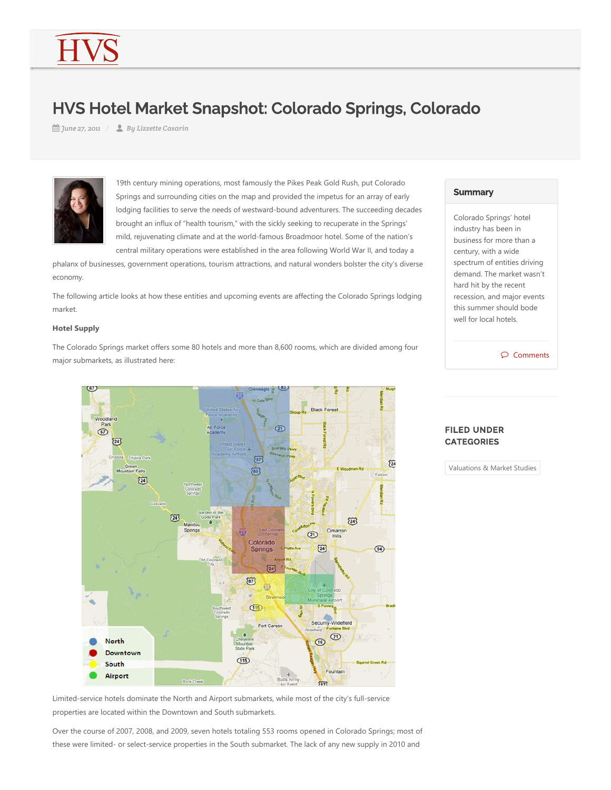# HVS Hotel Market Snapshot: Colorado Springs, Colorado

*June 27, 2011 By Lizzette Casarin*



19th century mining operations, most famously the Pikes Peak Gold Rush, put Colorado Springs and surrounding cities on the map and provided the impetus for an array of early lodging facilities to serve the needs of westward‐bound adventurers. The succeeding decades brought an influx of "health tourism," with the sickly seeking to recuperate in the Springs' mild, rejuvenating climate and at the world‐famous Broadmoor hotel. Some of the nation's central military operations were established in the area following World War II, and today a

phalanx of businesses, government operations, tourism attractions, and natural wonders bolster the city's diverse economy.

The following article looks at how these entities and upcoming events are affecting the Colorado Springs lodging market.

#### **Hotel Supply**

The Colorado Springs market offers some 80 hotels and more than 8,600 rooms, which are divided among four major submarkets, as illustrated here:



# **Summary**

Colorado Springs' hotel industry has been in business for more than a century, with a wide spectrum of entities driving demand. The market wasn't hard hit by the recent recession, and major events this summer should bode well for local hotels.



## FILED UNDER **CATEGORIES**

Valuations & Market Studies

Limited‐service hotels dominate the North and Airport submarkets, while most of the city's full‐service properties are located within the Downtown and South submarkets.

Over the course of 2007, 2008, and 2009, seven hotels totaling 553 rooms opened in Colorado Springs; most of these were limited‐ or select‐service properties in the South submarket. The lack of any new supply in 2010 and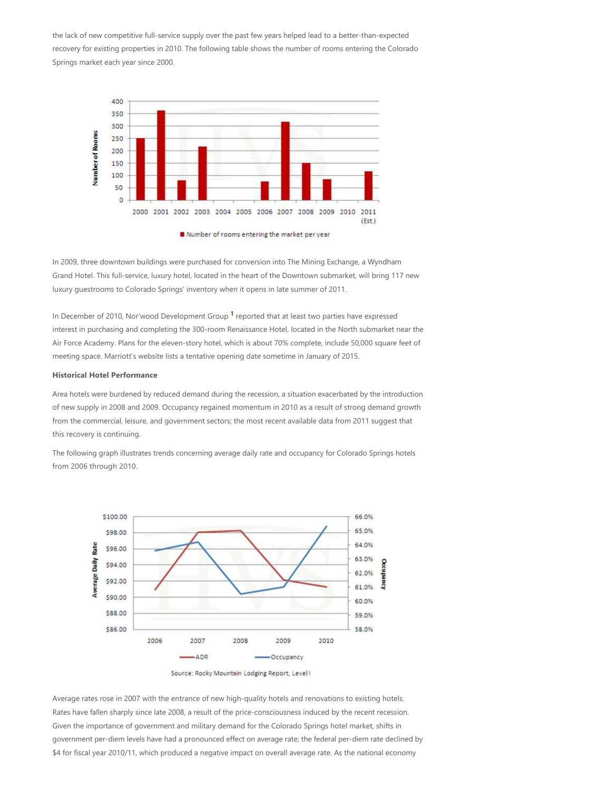the lack of new competitive full‐service supply over the past few years helped lead to a better‐than‐expected recovery for existing properties in 2010. The following table shows the number of rooms entering the Colorado Springs market each year since 2000.



In 2009, three downtown buildings were purchased for conversion into The Mining Exchange, a Wyndham Grand Hotel. This full‐service, luxury hotel, located in the heart of the Downtown submarket, will bring 117 new luxury guestrooms to Colorado Springs' inventory when it opens in late summer of 2011.

In December of 20[1](#page-3-0)0, Nor'wood Development Group <sup>1</sup> reported that at least two parties have expressed interest in purchasing and completing the 300‐room Renaissance Hotel, located in the North submarket near the Air Force Academy. Plans for the eleven‐story hotel, which is about 70% complete, include 50,000 square feet of meeting space. Marriott's website lists a tentative opening date sometime in January of 2015.

#### **Historical Hotel Performance**

Area hotels were burdened by reduced demand during the recession, a situation exacerbated by the introduction of new supply in 2008 and 2009. Occupancy regained momentum in 2010 as a result of strong demand growth from the commercial, leisure, and government sectors; the most recent available data from 2011 suggest that this recovery is continuing.

The following graph illustrates trends concerning average daily rate and occupancy for Colorado Springs hotels from 2006 through 2010.



Average rates rose in 2007 with the entrance of new high‐quality hotels and renovations to existing hotels. Rates have fallen sharply since late 2008, a result of the price‐consciousness induced by the recent recession. Given the importance of government and military demand for the Colorado Springs hotel market, shifts in government per‐diem levels have had a pronounced effect on average rate; the federal per‐diem rate declined by \$4 for fiscal year 2010/11, which produced a negative impact on overall average rate. As the national economy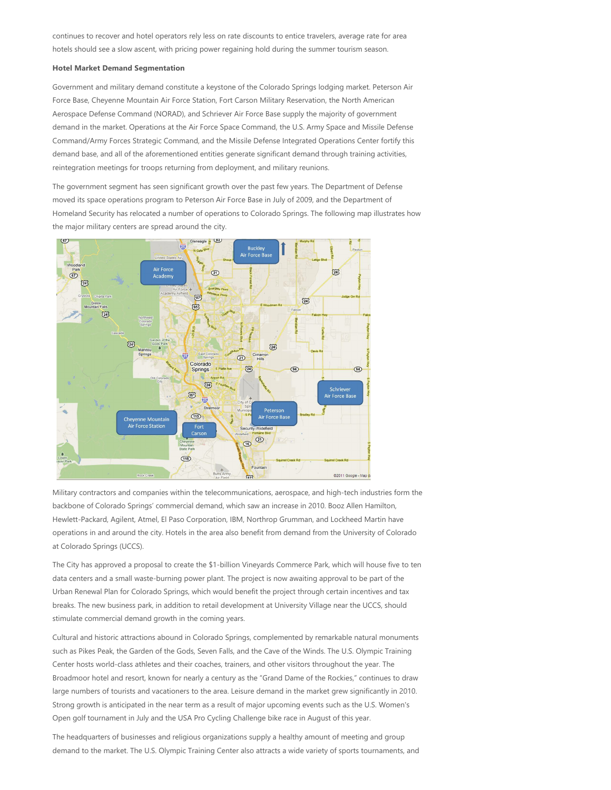continues to recover and hotel operators rely less on rate discounts to entice travelers, average rate for area hotels should see a slow ascent, with pricing power regaining hold during the summer tourism season.

#### **Hotel Market Demand Segmentation**

Government and military demand constitute a keystone of the Colorado Springs lodging market. Peterson Air Force Base, Cheyenne Mountain Air Force Station, Fort Carson Military Reservation, the North American Aerospace Defense Command (NORAD), and Schriever Air Force Base supply the majority of government demand in the market. Operations at the Air Force Space Command, the U.S. Army Space and Missile Defense Command/Army Forces Strategic Command, and the Missile Defense Integrated Operations Center fortify this demand base, and all of the aforementioned entities generate significant demand through training activities, reintegration meetings for troops returning from deployment, and military reunions.

The government segment has seen significant growth over the past few years. The Department of Defense moved its space operations program to Peterson Air Force Base in July of 2009, and the Department of Homeland Security has relocated a number of operations to Colorado Springs. The following map illustrates how the major military centers are spread around the city.



Military contractors and companies within the telecommunications, aerospace, and high‐tech industries form the backbone of Colorado Springs' commercial demand, which saw an increase in 2010. Booz Allen Hamilton, Hewlett-Packard, Agilent, Atmel, El Paso Corporation, IBM, Northrop Grumman, and Lockheed Martin have operations in and around the city. Hotels in the area also benefit from demand from the University of Colorado at Colorado Springs (UCCS).

The City has approved a proposal to create the \$1‐billion Vineyards Commerce Park, which will house five to ten data centers and a small waste‐burning power plant. The project is now awaiting approval to be part of the Urban Renewal Plan for Colorado Springs, which would benefit the project through certain incentives and tax breaks. The new business park, in addition to retail development at University Village near the UCCS, should stimulate commercial demand growth in the coming years.

Cultural and historic attractions abound in Colorado Springs, complemented by remarkable natural monuments such as Pikes Peak, the Garden of the Gods, Seven Falls, and the Cave of the Winds. The U.S. Olympic Training Center hosts world‐class athletes and their coaches, trainers, and other visitors throughout the year. The Broadmoor hotel and resort, known for nearly a century as the "Grand Dame of the Rockies," continues to draw large numbers of tourists and vacationers to the area. Leisure demand in the market grew significantly in 2010. Strong growth is anticipated in the near term as a result of major upcoming events such as the U.S. Women's Open golf tournament in July and the USA Pro Cycling Challenge bike race in August of this year.

The headquarters of businesses and religious organizations supply a healthy amount of meeting and group demand to the market. The U.S. Olympic Training Center also attracts a wide variety of sports tournaments, and